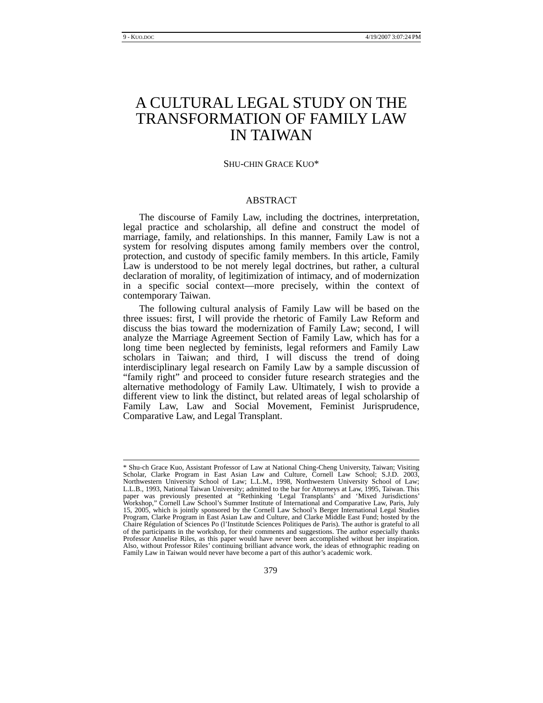# A CULTURAL LEGAL STUDY ON THE TRANSFORMATION OF FAMILY LAW IN TAIWAN

#### SHU-CHIN GRACE KUO\*

# ABSTRACT

The discourse of Family Law, including the doctrines, interpretation, legal practice and scholarship, all define and construct the model of marriage, family, and relationships. In this manner, Family Law is not a system for resolving disputes among family members over the control, protection, and custody of specific family members. In this article, Family Law is understood to be not merely legal doctrines, but rather, a cultural declaration of morality, of legitimization of intimacy, and of modernization in a specific social context—more precisely, within the context of contemporary Taiwan.

The following cultural analysis of Family Law will be based on the three issues: first, I will provide the rhetoric of Family Law Reform and discuss the bias toward the modernization of Family Law; second, I will analyze the Marriage Agreement Section of Family Law, which has for a long time been neglected by feminists, legal reformers and Family Law scholars in Taiwan; and third, I will discuss the trend of doing interdisciplinary legal research on Family Law by a sample discussion of "family right" and proceed to consider future research strategies and the alternative methodology of Family Law. Ultimately, I wish to provide a different view to link the distinct, but related areas of legal scholarship of Family Law, Law and Social Movement, Feminist Jurisprudence, Comparative Law, and Legal Transplant.

 <sup>\*</sup> Shu-ch Grace Kuo, Assistant Professor of Law at National Ching-Cheng University, Taiwan; Visiting Scholar, Clarke Program in East Asian Law and Culture, Cornell Law School; S.J.D. 2003, Northwestern University School of Law; L.L.M., 1998, Northwestern University School of Law; L.L.B., 1993, National Taiwan University; admitted to the bar for Attorneys at Law, 1995, Taiwan. This paper was previously presented at "Rethinking 'Legal Transplants' and 'Mixed Jurisdictions' Workshop," Cornell Law School's Summer Institute of International and Comparative Law, Paris, July 15, 2005, which is jointly sponsored by the Cornell Law School's Berger International Legal Studies Program, Clarke Program in East Asian Law and Culture, and Clarke Middle East Fund; hosted by the Chaire Régulation of Sciences Po (l'Institutde Sciences Politiques de Paris). The author is grateful to all of the participants in the workshop, for their comments and suggestions. The author especially thanks Professor Annelise Riles, as this paper would have never been accomplished without her inspiration. Also, without Professor Riles' continuing brilliant advance work, the ideas of ethnographic reading on Family Law in Taiwan would never have become a part of this author's academic work.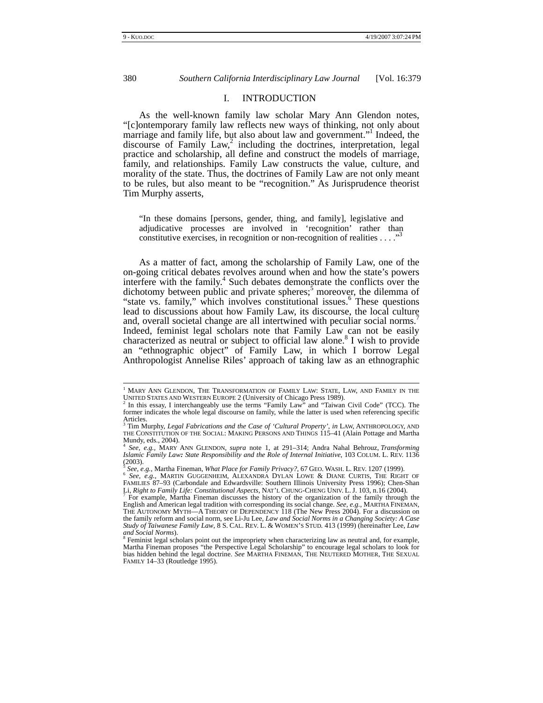## I. INTRODUCTION

As the well-known family law scholar Mary Ann Glendon notes, "[c]ontemporary family law reflects new ways of thinking, not only about marriage and family life, but also about law and government."<sup>1</sup> Indeed, the discourse of Family  $Law<sup>2</sup>$  including the doctrines, interpretation, legal practice and scholarship, all define and construct the models of marriage, family, and relationships. Family Law constructs the value, culture, and morality of the state. Thus, the doctrines of Family Law are not only meant to be rules, but also meant to be "recognition." As Jurisprudence theorist Tim Murphy asserts,

"In these domains [persons, gender, thing, and family], legislative and adjudicative processes are involved in 'recognition' rather than constitutive exercises, in recognition or non-recognition of realities  $\dots$ ."

As a matter of fact, among the scholarship of Family Law, one of the on-going critical debates revolves around when and how the state's powers interfere with the family.<sup>4</sup> Such debates demonstrate the conflicts over the dichotomy between public and private spheres;<sup>5</sup> moreover, the dilemma of "state vs. family," which involves constitutional issues.<sup>6</sup> These questions lead to discussions about how Family Law, its discourse, the local culture and, overall societal change are all intertwined with peculiar social norms.<sup>7</sup> Indeed, feminist legal scholars note that Family Law can not be easily characterized as neutral or subject to official law alone.<sup>8</sup> I wish to provide an "ethnographic object" of Family Law, in which I borrow Legal Anthropologist Annelise Riles' approach of taking law as an ethnographic

 $^{\rm 1}$  Mary Ann Glendon, The Transformation of Family Law: State, Law, and Family in the UNITED STATES AND WESTERN EUROPE 2 (University of Chicago Press 1989).<br><sup>2</sup> In this essay, I interchangeably use the terms "Family Law" and "Taiwan Civil Code" (TCC). The

former indicates the whole legal discourse on family, while the latter is used when referencing specific Articles.<br><sup>3</sup> Tim Mi

Tim Murphy, *Legal Fabrications and the Case of 'Cultural Property'*, *in* LAW, ANTHROPOLOGY, AND THE CONSTITUTION OF THE SOCIAL: MAKING PERSONS AND THINGS 115–41 (Alain Pottage and Martha Mundy, eds., 2004).

<sup>4</sup> *See, e.g.,* MARY ANN GLENDON, *supra* note 1, at 291–314; Andra Nahal Behrouz, *Transforming Islamic Family Law: State Responsibility and the Role of Internal Initiative*, 103 COLUM. L. REV. 1136 (2003).<br> $\frac{1}{2}$ See, e.g., Martha Fineman, What Place for Family Privacy?, 67 GEO. WASH. L. REV. 1207 (1999).

<sup>&</sup>lt;sup>5</sup> See, e.g., Martha Fineman, *What Place for Family Privacy?*, 67 GEO. WASH. L. REV. 1207 (1999).<br><sup>6</sup> See, e.g., MARTIN GUGGENHEIM, ALEXANDRA DYLAN LOWE & DIANE CURTIS, THE RIGHT OF<br>FAMILIES 87–93 (Carbondale and Edwards Li, *Right to Family Life: Constitutional Aspects*, NAT'L CHUNG-CHENG UNIV. L. J. 103, n.16 (2004). 7

For example, Martha Fineman discusses the history of the organization of the family through the English and American legal tradition with corresponding its social change. *See, e.g.,* MARTHA FINEMAN, THE AUTONOMY MYTH—A THEORY OF DEPENDENCY 118 (The New Press 2004). For a discussion on the family reform and social norm, see Li-Ju Lee, *Law and Social Norms in a Changing Society: A Case*<br>Study of Taiwanese Family Law, 8 S. CAL. REV. L. & WOMEN'S STUD. 413 (1999) (hereinafter Lee, Law and Social Norms).

Feminist legal scholars point out the impropriety when characterizing law as neutral and, for example, Martha Fineman proposes "the Perspective Legal Scholarship" to encourage legal scholars to look for bias hidden behind the legal doctrine. *See* MARTHA FINEMAN, THE NEUTERED MOTHER, THE SEXUAL FAMILY 14–33 (Routledge 1995).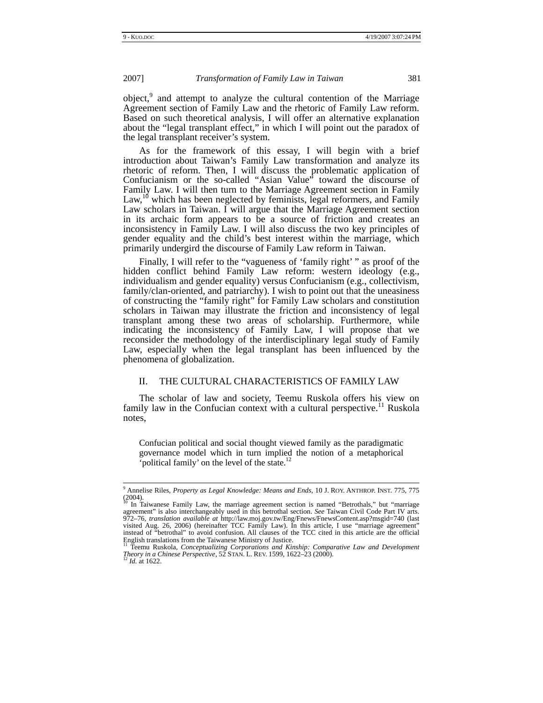object,<sup>9</sup> and attempt to analyze the cultural contention of the Marriage Agreement section of Family Law and the rhetoric of Family Law reform. Based on such theoretical analysis, I will offer an alternative explanation about the "legal transplant effect," in which I will point out the paradox of the legal transplant receiver's system.

As for the framework of this essay, I will begin with a brief introduction about Taiwan's Family Law transformation and analyze its rhetoric of reform. Then, I will discuss the problematic application of Confucianism or the so-called "Asian Value" toward the discourse of Family Law. I will then turn to the Marriage Agreement section in Family Law,<sup>10</sup> which has been neglected by feminists, legal reformers, and Family Law scholars in Taiwan. I will argue that the Marriage Agreement section in its archaic form appears to be a source of friction and creates an inconsistency in Family Law. I will also discuss the two key principles of gender equality and the child's best interest within the marriage, which primarily undergird the discourse of Family Law reform in Taiwan.

Finally, I will refer to the "vagueness of 'family right' " as proof of the hidden conflict behind Family Law reform: western ideology (e.g., individualism and gender equality) versus Confucianism (e.g., collectivism, family/clan-oriented, and patriarchy). I wish to point out that the uneasiness of constructing the "family right" for Family Law scholars and constitution scholars in Taiwan may illustrate the friction and inconsistency of legal transplant among these two areas of scholarship. Furthermore, while indicating the inconsistency of Family Law, I will propose that we reconsider the methodology of the interdisciplinary legal study of Family Law, especially when the legal transplant has been influenced by the phenomena of globalization.

# II. THE CULTURAL CHARACTERISTICS OF FAMILY LAW

The scholar of law and society, Teemu Ruskola offers his view on family law in the Confucian context with a cultural perspective.<sup>11</sup> Ruskola notes,

Confucian political and social thought viewed family as the paradigmatic governance model which in turn implied the notion of a metaphorical 'political family' on the level of the state.<sup>12</sup>

<sup>-&</sup>lt;br>9 Annelise Riles, *Property as Legal Knowledge: Means and Ends*, 10 J. ROY. ANTHROP. INST. 775, 775  $(2004)$ .

<sup>10</sup> In Taiwanese Family Law, the marriage agreement section is named "Betrothals," but "marriage agreement" is also interchangeably used in this betrothal section. *See* Taiwan Civil Code Part IV arts. 972–76, *translation available at* http://law.moj.gov.tw/Eng/Fnews/FnewsContent.asp?msgid=740 (last visited Aug. 26, 2006) (hereinafter TCC Family Law). In this article, I use "marriage agreement" instead of "betrothal" to avoid confusion. All clauses of the TCC cited in this article are the official English translations from the Taiwanese Ministry of Justice. 11 Teemu Ruskola, *Conceptualizing Corporations and Kinship: Comparative Law and Development* 

*Theory in a Chinese Perspective*, 52 STAN. L. REV. 1599, 1622–23 (2000). 12 *Id.* at 1622.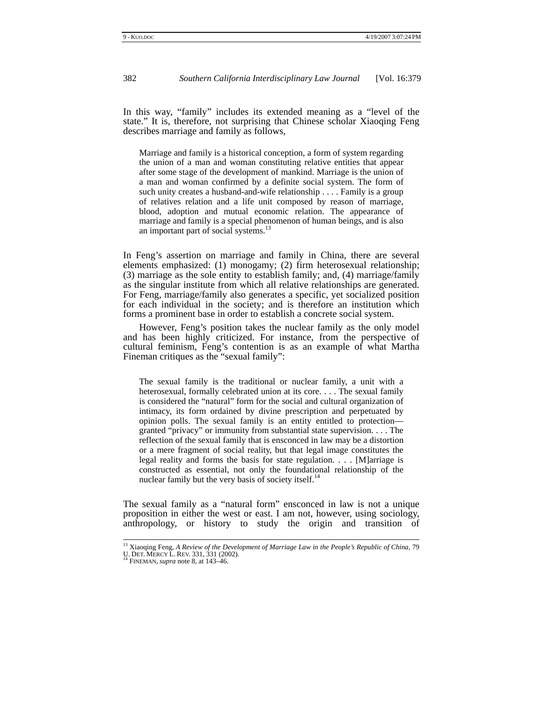In this way, "family" includes its extended meaning as a "level of the state." It is, therefore, not surprising that Chinese scholar Xiaoqing Feng describes marriage and family as follows,

Marriage and family is a historical conception, a form of system regarding the union of a man and woman constituting relative entities that appear after some stage of the development of mankind. Marriage is the union of a man and woman confirmed by a definite social system. The form of such unity creates a husband-and-wife relationship . . . . Family is a group of relatives relation and a life unit composed by reason of marriage, blood, adoption and mutual economic relation. The appearance of marriage and family is a special phenomenon of human beings, and is also an important part of social systems.<sup>13</sup>

In Feng's assertion on marriage and family in China, there are several elements emphasized: (1) monogamy; (2) firm heterosexual relationship; (3) marriage as the sole entity to establish family; and, (4) marriage/family as the singular institute from which all relative relationships are generated. For Feng, marriage/family also generates a specific, yet socialized position for each individual in the society; and is therefore an institution which forms a prominent base in order to establish a concrete social system.

However, Feng's position takes the nuclear family as the only model and has been highly criticized. For instance, from the perspective of cultural feminism, Feng's contention is as an example of what Martha Fineman critiques as the "sexual family":

The sexual family is the traditional or nuclear family, a unit with a heterosexual, formally celebrated union at its core. . . . The sexual family is considered the "natural" form for the social and cultural organization of intimacy, its form ordained by divine prescription and perpetuated by opinion polls. The sexual family is an entity entitled to protection granted "privacy" or immunity from substantial state supervision. . . . The reflection of the sexual family that is ensconced in law may be a distortion or a mere fragment of social reality, but that legal image constitutes the legal reality and forms the basis for state regulation. . . . [M]arriage is constructed as essential, not only the foundational relationship of the nuclear family but the very basis of society itself. $^{14}$ 

The sexual family as a "natural form" ensconced in law is not a unique proposition in either the west or east. I am not, however, using sociology, anthropology, or history to study the origin and transition of

<sup>&</sup>lt;sup>13</sup> Xiaoqing Feng, *A Review of the Development of Marriage Law in the People's Republic of China*, 79

U. DET. MERCY L. REV. 331, 331 (2002). 14 FINEMAN, *supra* note 8, at 143–46.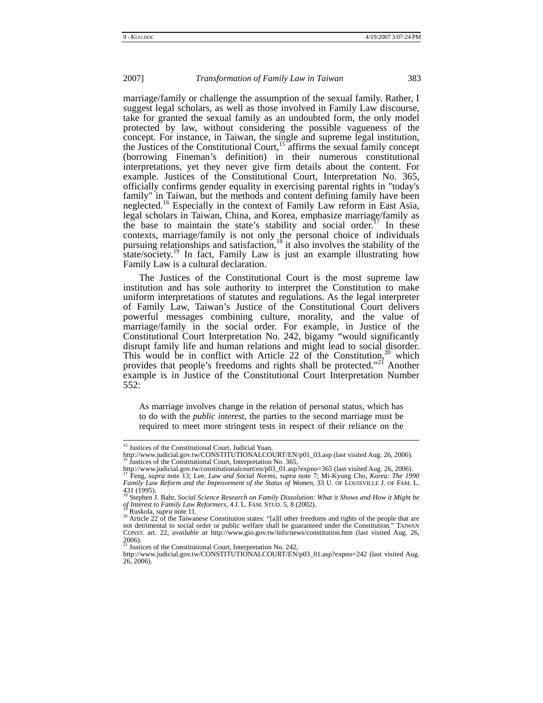marriage/family or challenge the assumption of the sexual family. Rather, I suggest legal scholars, as well as those involved in Family Law discourse, take for granted the sexual family as an undoubted form, the only model protected by law, without considering the possible vagueness of the concept. For instance, in Taiwan, the single and supreme legal institution, the Justices of the Constitutional Court,<sup>15</sup> affirms the sexual family concept (borrowing Fineman's definition) in their numerous constitutional interpretations, yet they never give firm details about the content. For example. Justices of the Constitutional Court, Interpretation No. 365, officially confirms gender equality in exercising parental rights in "today's family" in Taiwan, but the methods and content defining family have been neglected.16 Especially in the context of Family Law reform in East Asia, legal scholars in Taiwan, China, and Korea, emphasize marriage/family as the base to maintain the state's stability and social order.<sup>17</sup> In these contexts, marriage/family is not only the personal choice of individuals pursuing relationships and satisfaction, $18$  it also involves the stability of the state/society.<sup>19</sup> In fact, Family Law is just an example illustrating how Family Law is a cultural declaration.

The Justices of the Constitutional Court is the most supreme law institution and has sole authority to interpret the Constitution to make uniform interpretations of statutes and regulations. As the legal interpreter of Family Law, Taiwan's Justice of the Constitutional Court delivers powerful messages combining culture, morality, and the value of marriage/family in the social order. For example, in Justice of the Constitutional Court Interpretation No. 242, bigamy "would significantly disrupt family life and human relations and might lead to social disorder. This would be in conflict with Article 22 of the Constitution,  $2^{\circ}$  which provides that people's freedoms and rights shall be protected."<sup>21</sup> Another example is in Justice of the Constitutional Court Interpretation Number 552:

As marriage involves change in the relation of personal status, which has to do with the *public interest*, the parties to the second marriage must be required to meet more stringent tests in respect of their reliance on the

<sup>&</sup>lt;sup>15</sup> Justices of the Constitutional Court, Judicial Yuan,

http://www.judicial.gov.tw/CONSTITUTIONALCOURT/EN/p01\_03.asp (last visited Aug. 26, 2006). 16 Justices of the Constitutional Court, Interpretation No. 365,

http://www.judicial.gov.tw/constitutionalcourt/en/p03\_01.asp?expno=365 (last visited Aug. 26, 2006). 17 Feng, *supra* note 13; Lee, *Law and Social Norms*, *supra* note 7; Mi-Kyung Cho, *Korea: The 1990 Family Law Reform and the Improvement of the Status of Women*, 33 U. OF LOUISVILLE J. OF FAM. L.

<sup>431 (1995).&</sup>lt;br><sup>18</sup> Stephen J. Bahr, *Social Science Research on Family Dissolution: What it Shows and How it Might be of Interest to Family Law Reformers*, 4 J. L. FAM. STUD. 5, 8 (2002).<br><sup>19</sup> Ruskola, *supra* note 11. <sup>20</sup> Article 22 of the Taiwanese Constitution states: "[a]ll other freedoms and rights of the people that are

not detrimental to social order or public welfare shall be guaranteed under the Constitution." TAIWAN CONST. art. 22, *available at* http://www.gio.gov.tw/info/news/constitution.htm (last visited Aug. 26, 2006). 21 Justices of the Constitutional Court, Interpretation No. 242,

http://www.judicial.gov.tw/CONSTITUTIONALCOURT/EN/p03\_01.asp?expno=242 (last visited Aug. 26, 2006).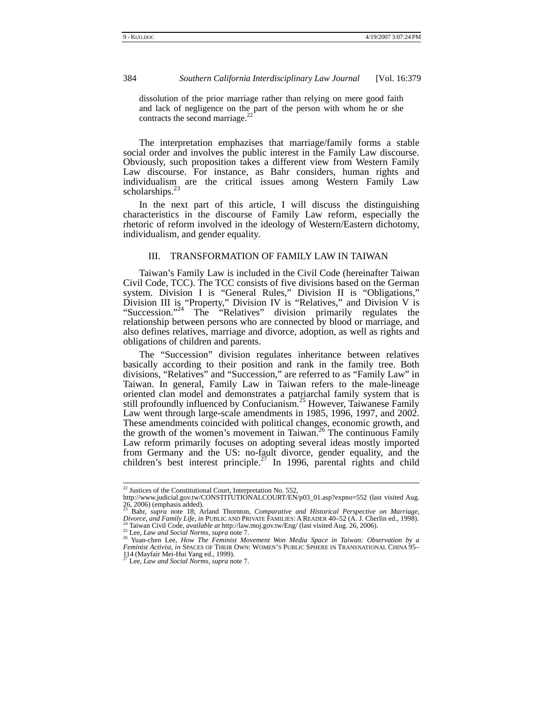dissolution of the prior marriage rather than relying on mere good faith and lack of negligence on the part of the person with whom he or she contracts the second marriage. $^{2}$ 

The interpretation emphazises that marriage/family forms a stable social order and involves the public interest in the Family Law discourse. Obviously, such proposition takes a different view from Western Family Law discourse. For instance, as Bahr considers, human rights and individualism are the critical issues among Western Family Law scholarships.<sup>23</sup>

In the next part of this article, I will discuss the distinguishing characteristics in the discourse of Family Law reform, especially the rhetoric of reform involved in the ideology of Western/Eastern dichotomy, individualism, and gender equality.

## III. TRANSFORMATION OF FAMILY LAW IN TAIWAN

Taiwan's Family Law is included in the Civil Code (hereinafter Taiwan Civil Code, TCC). The TCC consists of five divisions based on the German system. Division I is "General Rules," Division II is "Obligations," Division III is "Property," Division IV is "Relatives," and Division V is "Succession."<sup>24</sup> The "Relatives" division primarily regulates the relationship between persons who are connected by blood or marriage, and also defines relatives, marriage and divorce, adoption, as well as rights and obligations of children and parents.

The "Succession" division regulates inheritance between relatives basically according to their position and rank in the family tree. Both divisions, "Relatives" and "Succession," are referred to as "Family Law" in Taiwan. In general, Family Law in Taiwan refers to the male-lineage oriented clan model and demonstrates a patriarchal family system that is still profoundly influenced by Confucianism.<sup>25</sup> However, Taiwanese Family Law went through large-scale amendments in 1985, 1996, 1997, and 2002. These amendments coincided with political changes, economic growth, and the growth of the women's movement in Taiwan.<sup>26</sup> The continuous Family Law reform primarily focuses on adopting several ideas mostly imported from Germany and the US: no-fault divorce, gender equality, and the children's best interest principle.<sup>27</sup> In 1996, parental rights and child

<sup>&</sup>lt;sup>22</sup> Justices of the Constitutional Court, Interpretation No. 552,

http://www.judicial.gov.tw/CONSTITUTIONALCOURT/EN/p03\_01.asp?expno=552 (last visited Aug.  $26, 2006$ ) (emphasis added).

<sup>23</sup> Bahr, *supra* note 18; Arland Thornton, *Comparative and Historical Perspective on Marriage,*  Divorce, and Family Life, in PUBLIC AND PRIVATE FAMILIES: A READER 40–52 (A. J. Cherlin ed., 1998).<br><sup>24</sup> Taiwan Civil Code, *available at http://law.moj.gov.tw/Eng/* (last visited Aug. 26, 2006).<br><sup>25</sup> Lee, *Law and Social* 

*Feminist Activist*, *in* SPACES OF THEIR OWN: WOMEN'S PUBLIC SPHERE IN TRANSNATIONAL CHINA 95– <sup>114</sup> (Mayfair Mei-Hui Yang ed., 1999). 27 Lee, *Law and Social Norms*, *supra* note 7.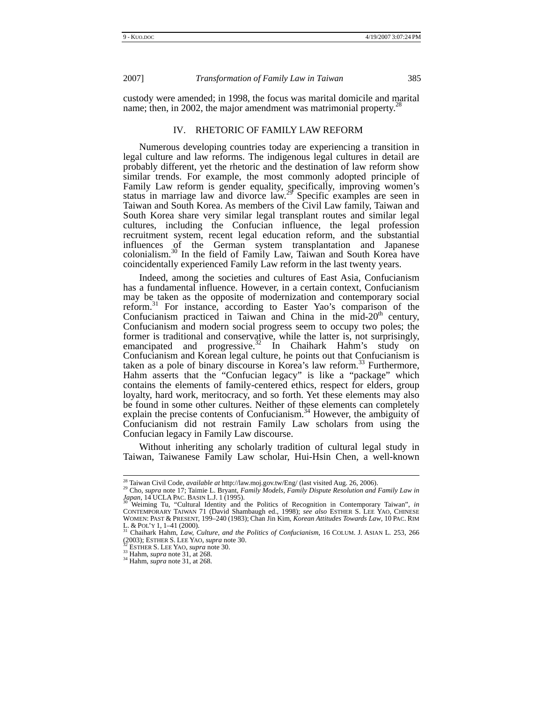custody were amended; in 1998, the focus was marital domicile and marital name; then, in 2002, the major amendment was matrimonial property.<sup>27</sup>

## IV. RHETORIC OF FAMILY LAW REFORM

Numerous developing countries today are experiencing a transition in legal culture and law reforms. The indigenous legal cultures in detail are probably different, yet the rhetoric and the destination of law reform show similar trends. For example, the most commonly adopted principle of Family Law reform is gender equality, specifically, improving women's status in marriage law and divorce law.<sup>29</sup> Specific examples are seen in Taiwan and South Korea. As members of the Civil Law family, Taiwan and South Korea share very similar legal transplant routes and similar legal cultures, including the Confucian influence, the legal profession recruitment system, recent legal education reform, and the substantial influences of the German system transplantation and Japanese colonialism.30 In the field of Family Law, Taiwan and South Korea have coincidentally experienced Family Law reform in the last twenty years.

Indeed, among the societies and cultures of East Asia, Confucianism has a fundamental influence. However, in a certain context, Confucianism may be taken as the opposite of modernization and contemporary social reform.31 For instance, according to Easter Yao's comparison of the Confucianism practiced in Taiwan and China in the mid- $20<sup>th</sup>$  century, Confucianism and modern social progress seem to occupy two poles; the former is traditional and conservative, while the latter is, not surprisingly, emancipated and progressive.<sup>32</sup> In Chaihark Hahm's study on Confucianism and Korean legal culture, he points out that Confucianism is taken as a pole of binary discourse in Korea's law reform.33 Furthermore, Hahm asserts that the "Confucian legacy" is like a "package" which contains the elements of family-centered ethics, respect for elders, group loyalty, hard work, meritocracy, and so forth. Yet these elements may also be found in some other cultures. Neither of these elements can completely explain the precise contents of Confucianism.<sup>34</sup> However, the ambiguity of Confucianism did not restrain Family Law scholars from using the Confucian legacy in Family Law discourse.

Without inheriting any scholarly tradition of cultural legal study in Taiwan, Taiwanese Family Law scholar, Hui-Hsin Chen, a well-known

<sup>&</sup>lt;sup>28</sup> Taiwan Civil Code, *available at* http://law.moj.gov.tw/Eng/ (last visited Aug. 26, 2006). <sup>29</sup> Cho, *supra* note 17; Taimie L. Bryant, *Family Models, Family Dispute Resolution and Family Law in* Lapan, 14 UCLA PAC. BASIN L.J. 1 (1995).<br>*Japan*, 14 UCLA PAC. BASIN L.J. 1 (1995).<br><sup>30</sup> Weiming Tu, "Cultural Identity and the Politics of Recognition in Contemporary Taiwan", *in* 

CONTEMPORARY TAIWAN 71 (David Shambaugh ed., 1998); *see also* ESTHER S. LEE YAO, CHINESE WOMEN: PAST & PRESENT, 199–240 (1983); Chan Jin Kim, *Korean Attitudes Towards Law*, 10 PAC. RIM L. & POL'Y 1, 1–41 (2000). 31 Chaihark Hahm, *Law, Culture, and the Politics of Confucianism*, 16 COLUM. J. ASIAN L*.* 253, 266

<sup>(2003);</sup> ESTHER S. LEE YAO, *supra* note 30. 32 ESTHER S. LEE YAO, *supra* note 30. 33 Hahm, *supra* note 31, at 268. 34 Hahm, *supra* note 31, at 268.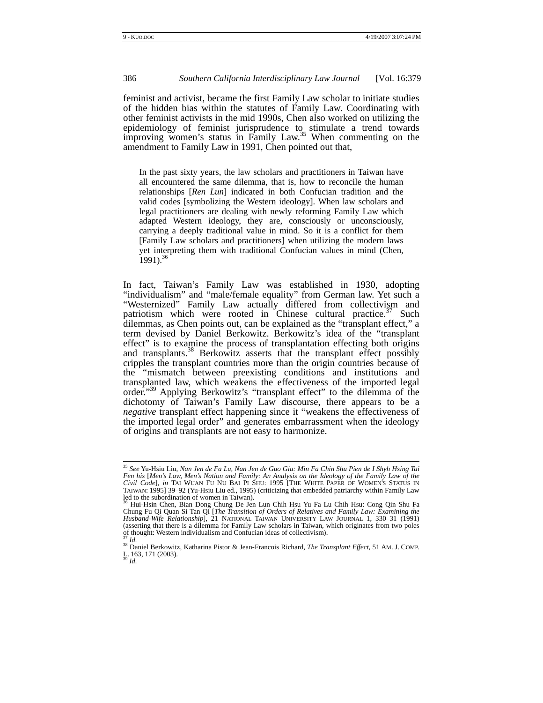feminist and activist, became the first Family Law scholar to initiate studies of the hidden bias within the statutes of Family Law. Coordinating with other feminist activists in the mid 1990s, Chen also worked on utilizing the epidemiology of feminist jurisprudence to stimulate a trend towards improving women's status in Family Law.<sup>35</sup> When commenting on the amendment to Family Law in 1991, Chen pointed out that,

In the past sixty years, the law scholars and practitioners in Taiwan have all encountered the same dilemma, that is, how to reconcile the human relationships [*Ren Lun*] indicated in both Confucian tradition and the valid codes [symbolizing the Western ideology]. When law scholars and legal practitioners are dealing with newly reforming Family Law which adapted Western ideology, they are, consciously or unconsciously, carrying a deeply traditional value in mind. So it is a conflict for them [Family Law scholars and practitioners] when utilizing the modern laws yet interpreting them with traditional Confucian values in mind (Chen,  $1991$ <sup>36</sup>

In fact, Taiwan's Family Law was established in 1930, adopting "individualism" and "male/female equality" from German law. Yet such a "Westernized" Family Law actually differed from collectivism and patriotism which were rooted in Chinese cultural practice.<sup>37</sup> Such dilemmas, as Chen points out, can be explained as the "transplant effect," a term devised by Daniel Berkowitz. Berkowitz's idea of the "transplant effect" is to examine the process of transplantation effecting both origins and transplants.<sup>38</sup> Berkowitz asserts that the transplant effect possibly cripples the transplant countries more than the origin countries because of the "mismatch between preexisting conditions and institutions and transplanted law, which weakens the effectiveness of the imported legal order."<sup>39</sup> Applying Berkowitz's "transplant effect" to the dilemma of the dichotomy of Taiwan's Family Law discourse, there appears to be a *negative* transplant effect happening since it "weakens the effectiveness of the imported legal order" and generates embarrassment when the ideology of origins and transplants are not easy to harmonize.

 <sup>35</sup> *See* Yu-Hsiu Liu, *Nan Jen de Fa Lu, Nan Jen de Guo Gia: Min Fa Chin Shu Pien de I Shyh Hsing Tai Fen his* [*Men's Law, Men's Nation and Family: An Analysis on the Ideology of the Family Law of the Civil Code*], *in* TAI WUAN FU NU BAI PI SHU: 1995 [THE WHITE PAPER OF WOMEN'S STATUS IN TAIWAN: 1995] 39–92 (Yu-Hsiu Liu ed., 1995) (criticizing that embedded patriarchy within Family Law

led to the subordination of women in Taiwan). 36 Hui-Hsin Chen, Bian Dong Chung De Jen Lun Chih Hsu Yu Fa Lu Chih Hsu: Cong Qin Shu Fa Chung Fu Qi Quan Si Tan Qi [*The Transition of Orders of Relatives and Family Law: Examining the Husband-Wife Relationship*], 21 NATIONAL TAIWAN UNIVERSITY LAW JOURNAL 1, 330–31 (1991) (asserting that there is a dilemma for Family Law scholars in Taiwan, which originates from two poles of thought: Western individualism and Confucian ideas of collectivism).

<sup>37</sup> *Id.* 38 Daniel Berkowitz, Katharina Pistor & Jean-Francois Richard, *The Transplant Effect*, 51 AM. J. COMP. L. 163, 171 (2003). 39 *Id.*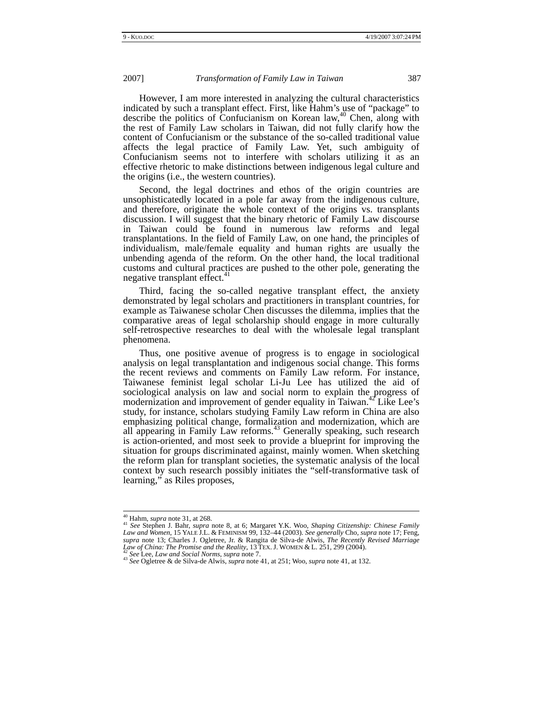However, I am more interested in analyzing the cultural characteristics indicated by such a transplant effect. First, like Hahm's use of "package" to describe the politics of Confucianism on Korean law, $40^{\text{40}}$  Chen, along with the rest of Family Law scholars in Taiwan, did not fully clarify how the content of Confucianism or the substance of the so-called traditional value affects the legal practice of Family Law. Yet, such ambiguity of Confucianism seems not to interfere with scholars utilizing it as an effective rhetoric to make distinctions between indigenous legal culture and the origins (i.e., the western countries).

Second, the legal doctrines and ethos of the origin countries are unsophisticatedly located in a pole far away from the indigenous culture, and therefore, originate the whole context of the origins vs. transplants discussion. I will suggest that the binary rhetoric of Family Law discourse in Taiwan could be found in numerous law reforms and legal transplantations. In the field of Family Law, on one hand, the principles of individualism, male/female equality and human rights are usually the unbending agenda of the reform. On the other hand, the local traditional customs and cultural practices are pushed to the other pole, generating the negative transplant effect.<sup>4</sup>

Third, facing the so-called negative transplant effect, the anxiety demonstrated by legal scholars and practitioners in transplant countries, for example as Taiwanese scholar Chen discusses the dilemma, implies that the comparative areas of legal scholarship should engage in more culturally self-retrospective researches to deal with the wholesale legal transplant phenomena.

Thus, one positive avenue of progress is to engage in sociological analysis on legal transplantation and indigenous social change. This forms the recent reviews and comments on Family Law reform. For instance, Taiwanese feminist legal scholar Li-Ju Lee has utilized the aid of sociological analysis on law and social norm to explain the progress of modernization and improvement of gender equality in Taiwan.<sup>42</sup> Like Lee's study, for instance, scholars studying Family Law reform in China are also emphasizing political change, formalization and modernization, which are all appearing in Family Law reforms.<sup>43</sup> Generally speaking, such research is action-oriented, and most seek to provide a blueprint for improving the situation for groups discriminated against, mainly women. When sketching the reform plan for transplant societies, the systematic analysis of the local context by such research possibly initiates the "self-transformative task of learning," as Riles proposes,

 <sup>40</sup> Hahm, *supra* note 31, at 268. 41 *See* Stephen J. Bahr, *supra* note 8, at 6; Margaret Y.K. Woo, *Shaping Citizenship: Chinese Family Law and Women*, 15 YALE J.L. & FEMINISM 99, 132–44 (2003). *See generally* Cho, *supra* note 17; Feng, supra note 13; Charles J. Ogletree, Jr. & Rangita de Silva-de Alwis, *The Recently Revised Marriage Law of China: The Promise and the Reality*, 13 TEX. J. WOMEN & L. 251, 299 (2004).<br><sup>42</sup> See Lee, *Law and Social Norms*,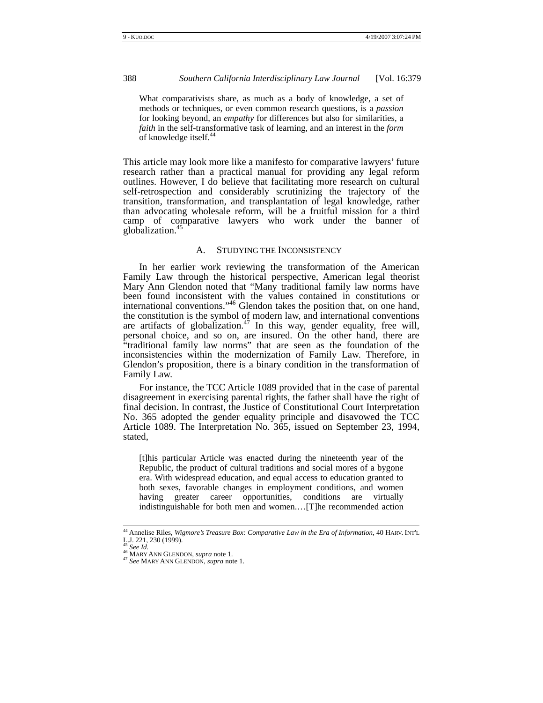What comparativists share, as much as a body of knowledge, a set of methods or techniques, or even common research questions, is a *passion* for looking beyond, an *empathy* for differences but also for similarities, a *faith* in the self-transformative task of learning, and an interest in the *form* of knowledge itself.<sup>44</sup>

This article may look more like a manifesto for comparative lawyers' future research rather than a practical manual for providing any legal reform outlines. However, I do believe that facilitating more research on cultural self-retrospection and considerably scrutinizing the trajectory of the transition, transformation, and transplantation of legal knowledge, rather than advocating wholesale reform, will be a fruitful mission for a third camp of comparative lawyers who work under the banner of globalization.<sup>4</sup>

#### A. STUDYING THE INCONSISTENCY

In her earlier work reviewing the transformation of the American Family Law through the historical perspective, American legal theorist Mary Ann Glendon noted that "Many traditional family law norms have been found inconsistent with the values contained in constitutions or international conventions."<sup>46</sup> Glendon takes the position that, on one hand, the constitution is the symbol of modern law, and international conventions are artifacts of globalization.<sup>47</sup> In this way, gender equality, free will, personal choice, and so on, are insured. On the other hand, there are "traditional family law norms" that are seen as the foundation of the inconsistencies within the modernization of Family Law. Therefore, in Glendon's proposition, there is a binary condition in the transformation of Family Law.

For instance, the TCC Article 1089 provided that in the case of parental disagreement in exercising parental rights, the father shall have the right of final decision. In contrast, the Justice of Constitutional Court Interpretation No. 365 adopted the gender equality principle and disavowed the TCC Article 1089. The Interpretation No. 365, issued on September 23, 1994, stated,

[t]his particular Article was enacted during the nineteenth year of the Republic, the product of cultural traditions and social mores of a bygone era. With widespread education, and equal access to education granted to both sexes, favorable changes in employment conditions, and women having greater career opportunities, conditions are virtually indistinguishable for both men and women.…[T]he recommended action

 <sup>44</sup> Annelise Riles, *Wigmore's Treasure Box: Comparative Law in the Era of Information*, 40 HARV. INT'L L.J. 221, 230 (1999).<br><sup>45</sup> See Id.

<sup>45</sup> *See Id.* 46 MARY ANN GLENDON, *supra* note 1. 47 *See* MARY ANN GLENDON, *supra* note 1.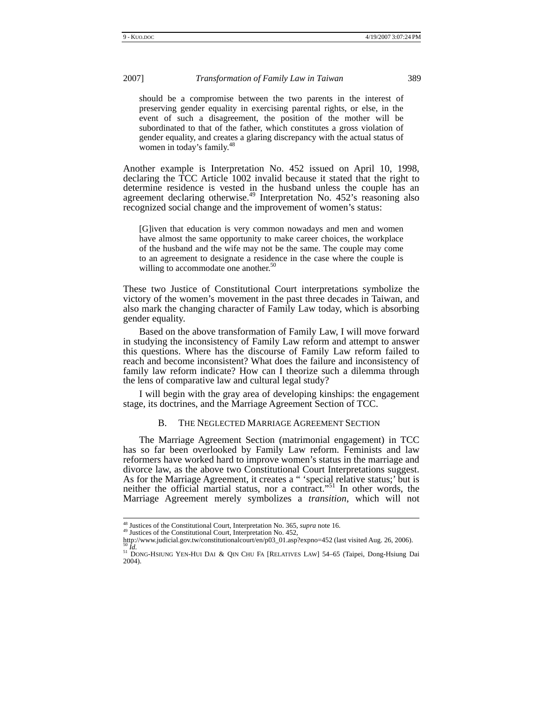should be a compromise between the two parents in the interest of preserving gender equality in exercising parental rights, or else, in the event of such a disagreement, the position of the mother will be subordinated to that of the father, which constitutes a gross violation of gender equality, and creates a glaring discrepancy with the actual status of women in today's family.<sup>48</sup>

Another example is Interpretation No. 452 issued on April 10, 1998, declaring the TCC Article 1002 invalid because it stated that the right to determine residence is vested in the husband unless the couple has an agreement declaring otherwise.<sup>49</sup> Interpretation No. 452's reasoning also recognized social change and the improvement of women's status:

[G]iven that education is very common nowadays and men and women have almost the same opportunity to make career choices, the workplace of the husband and the wife may not be the same. The couple may come to an agreement to designate a residence in the case where the couple is willing to accommodate one another.<sup>50</sup>

These two Justice of Constitutional Court interpretations symbolize the victory of the women's movement in the past three decades in Taiwan, and also mark the changing character of Family Law today, which is absorbing gender equality.

Based on the above transformation of Family Law, I will move forward in studying the inconsistency of Family Law reform and attempt to answer this questions. Where has the discourse of Family Law reform failed to reach and become inconsistent? What does the failure and inconsistency of family law reform indicate? How can I theorize such a dilemma through the lens of comparative law and cultural legal study?

I will begin with the gray area of developing kinships: the engagement stage, its doctrines, and the Marriage Agreement Section of TCC.

#### B. THE NEGLECTED MARRIAGE AGREEMENT SECTION

The Marriage Agreement Section (matrimonial engagement) in TCC has so far been overlooked by Family Law reform. Feminists and law reformers have worked hard to improve women's status in the marriage and divorce law, as the above two Constitutional Court Interpretations suggest. As for the Marriage Agreement, it creates a " 'special relative status;' but is neither the official martial status, nor a contract."51 In other words, the Marriage Agreement merely symbolizes a *transition*, which will not

<sup>48</sup> Justices of the Constitutional Court, Interpretation No. 365, *supra* note 16.<br><sup>49</sup> Justices of the Constitutional Court, Interpretation No. 452,<br>http://www.judicial.gov.tw/constitutionalcourt/en/p03\_01.asp?expno=452 (l

<sup>&</sup>lt;sup>50</sup> Id.<br><sup>51</sup> DONG-HSIUNG YEN-HUI DAI & QIN CHU FA [RELATIVES LAW] 54–65 (Taipei, Dong-Hsiung Dai 2004).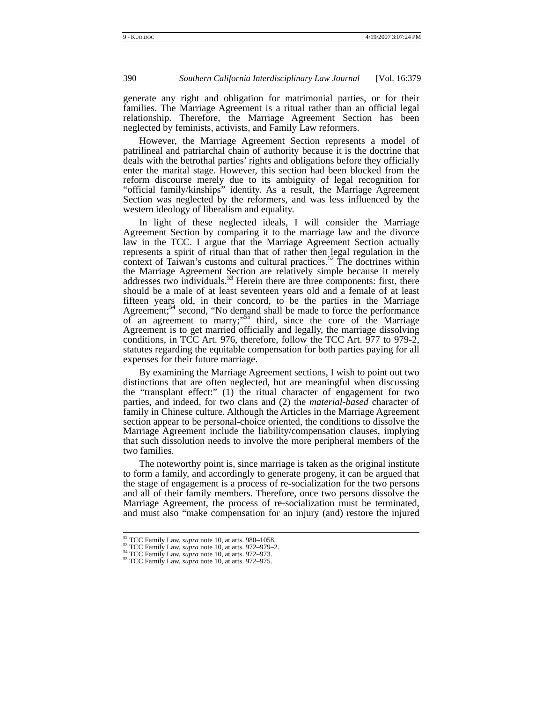generate any right and obligation for matrimonial parties, or for their families. The Marriage Agreement is a ritual rather than an official legal relationship. Therefore, the Marriage Agreement Section has been neglected by feminists, activists, and Family Law reformers.

However, the Marriage Agreement Section represents a model of patrilineal and patriarchal chain of authority because it is the doctrine that deals with the betrothal parties' rights and obligations before they officially enter the marital stage. However, this section had been blocked from the reform discourse merely due to its ambiguity of legal recognition for "official family/kinships" identity. As a result, the Marriage Agreement Section was neglected by the reformers, and was less influenced by the western ideology of liberalism and equality.

In light of these neglected ideals, I will consider the Marriage Agreement Section by comparing it to the marriage law and the divorce law in the TCC. I argue that the Marriage Agreement Section actually represents a spirit of ritual than that of rather then legal regulation in the context of Taiwan's customs and cultural practices.<sup>52</sup> The doctrines within the Marriage Agreement Section are relatively simple because it merely addresses two individuals.<sup>53</sup> Herein there are three components: first, there should be a male of at least seventeen years old and a female of at least fifteen years old, in their concord, to be the parties in the Marriage Agreement;<sup>54</sup> second, "No demand shall be made to force the performance of an agreement to marry;"<sup>55</sup> third, since the core of the Marriage Agreement is to get married officially and legally, the marriage dissolving conditions, in TCC Art. 976, therefore, follow the TCC Art. 977 to 979-2, statutes regarding the equitable compensation for both parties paying for all expenses for their future marriage.

By examining the Marriage Agreement sections, I wish to point out two distinctions that are often neglected, but are meaningful when discussing the "transplant effect:" (1) the ritual character of engagement for two parties, and indeed, for two clans and (2) the *material-based* character of family in Chinese culture. Although the Articles in the Marriage Agreement section appear to be personal-choice oriented, the conditions to dissolve the Marriage Agreement include the liability/compensation clauses, implying that such dissolution needs to involve the more peripheral members of the two families.

The noteworthy point is, since marriage is taken as the original institute to form a family, and accordingly to generate progeny, it can be argued that the stage of engagement is a process of re-socialization for the two persons and all of their family members. Therefore, once two persons dissolve the Marriage Agreement, the process of re-socialization must be terminated, and must also "make compensation for an injury (and) restore the injured

<sup>&</sup>lt;sup>52</sup> TCC Family Law, *supra* note 10, at arts. 980–1058.<br><sup>53</sup> TCC Family Law, *supra* note 10, at arts. 972–979–2.<br><sup>54</sup> TCC Family Law, *supra* note 10, at arts. 972–973.<br><sup>55</sup> TCC Family Law, *supra* note 10, at arts. 972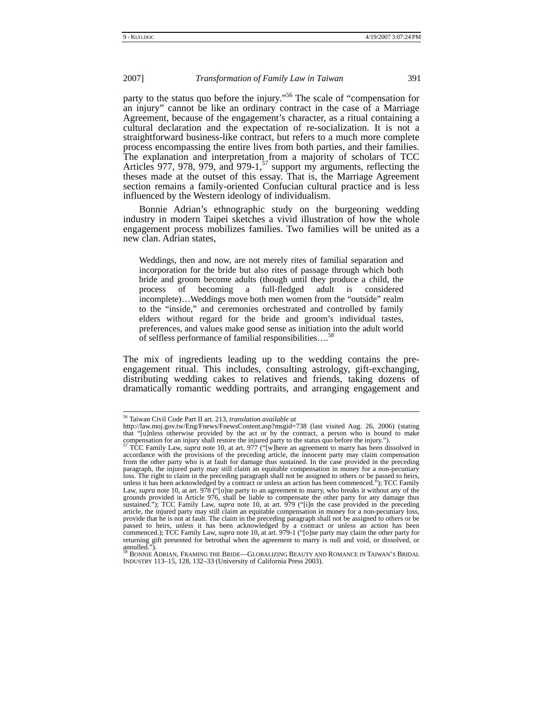party to the status quo before the injury."<sup>56</sup> The scale of "compensation for an injury" cannot be like an ordinary contract in the case of a Marriage Agreement, because of the engagement's character, as a ritual containing a cultural declaration and the expectation of re-socialization. It is not a straightforward business-like contract, but refers to a much more complete process encompassing the entire lives from both parties, and their families. The explanation and interpretation from a majority of scholars of TCC Articles 977, 978, 979, and 979-1, $^{57}$  support my arguments, reflecting the theses made at the outset of this essay. That is, the Marriage Agreement section remains a family-oriented Confucian cultural practice and is less influenced by the Western ideology of individualism.

Bonnie Adrian's ethnographic study on the burgeoning wedding industry in modern Taipei sketches a vivid illustration of how the whole engagement process mobilizes families. Two families will be united as a new clan. Adrian states,

Weddings, then and now, are not merely rites of familial separation and incorporation for the bride but also rites of passage through which both bride and groom become adults (though until they produce a child, the process of becoming a full-fledged adult is considered incomplete)…Weddings move both men women from the "outside" realm to the "inside," and ceremonies orchestrated and controlled by family elders without regard for the bride and groom's individual tastes, preferences, and values make good sense as initiation into the adult world of selfless performance of familial responsibilities....<sup>5</sup>

The mix of ingredients leading up to the wedding contains the preengagement ritual. This includes, consulting astrology, gift-exchanging, distributing wedding cakes to relatives and friends, taking dozens of dramatically romantic wedding portraits, and arranging engagement and

 <sup>56</sup> Taiwan Civil Code Part II art. 213, *translation available at*

http://law.moj.gov.tw/Eng/Fnews/FnewsContent.asp?msgid=738 (last visited Aug. 26, 2006) (stating that "[u]nless otherwise provided by the act or by the contract, a person who is bound to make compensation for an injury shall restore the injured party to the status quo before the injury.").<br><sup>57</sup> TCC Family Law, *supra* note 10, at art. 977 ("[w]here an agreement to marry has been dissolved in

accordance with the provisions of the preceding article, the innocent party may claim compensation from the other party who is at fault for damage thus sustained. In the case provided in the preceding paragraph, the injured party may still claim an equitable compensation in money for a non-pecuniary loss. The right to claim in the preceding paragraph shall not be assigned to others or be passed to heirs, unless it has been acknowledged by a contract or unless an action has been commenced."); TCC Family Law, *supra* note 10, at art. 978 ("[o]ne party to an agreement to marry, who breaks it without any of the grounds provided in Article 976, shall be liable to compensate the other party for any damage thus sustained."); TCC Family Law, *supra* note 10, at art. 979 ("[i]n the case provided in the preceding article, the injured party may still claim an equitable compensation in money for a non-pecuniary loss, provide that he is not at fault. The claim in the preceding paragraph shall not be assigned to others or be passed to heirs, unless it has been acknowledged by a contract or unless an action has been commenced.); TCC Family Law, *supra* note 10, at art. 979-1 ("[o]ne party may claim the other party for returning gift presented for betrothal when the agreement to marry is null and void, or dissolved, or<br>annulled.").<br><sup>58</sup> BONNIE ADRIAN, FRAMING THE BRIDE—GLOBALIZING BEAUTY AND ROMANCE IN TAIWAN'S BRIDAL

INDUSTRY 113–15, 128, 132–33 (University of California Press 2003).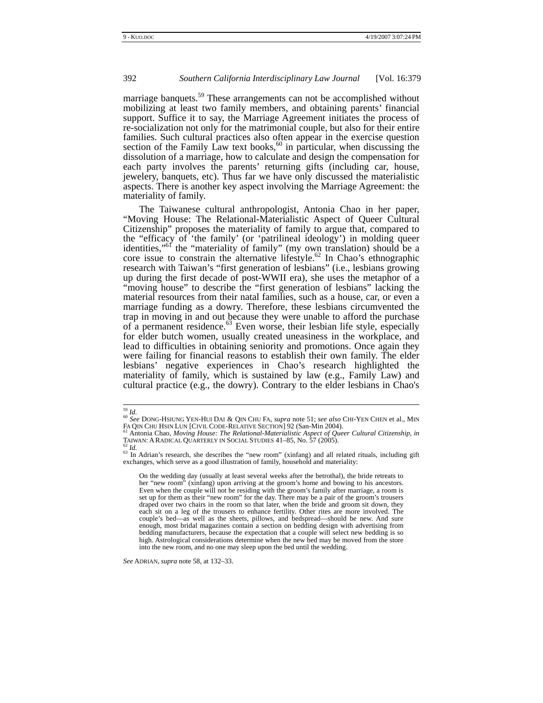marriage banquets.<sup>59</sup> These arrangements can not be accomplished without mobilizing at least two family members, and obtaining parents' financial support. Suffice it to say, the Marriage Agreement initiates the process of re-socialization not only for the matrimonial couple, but also for their entire families. Such cultural practices also often appear in the exercise question section of the Family Law text books,  $60$  in particular, when discussing the dissolution of a marriage, how to calculate and design the compensation for each party involves the parents' returning gifts (including car, house, jewelery, banquets, etc). Thus far we have only discussed the materialistic aspects. There is another key aspect involving the Marriage Agreement: the materiality of family.

The Taiwanese cultural anthropologist, Antonia Chao in her paper, "Moving House: The Relational-Materialistic Aspect of Queer Cultural Citizenship" proposes the materiality of family to argue that, compared to the "efficacy of 'the family' (or 'patrilineal ideology') in molding queer identities,"<sup>of</sup> the "materiality of family" (my own translation) should be a core issue to constrain the alternative lifestyle.<sup>62</sup> In Chao's ethnographic research with Taiwan's "first generation of lesbians" (i.e., lesbians growing up during the first decade of post-WWII era), she uses the metaphor of a "moving house" to describe the "first generation of lesbians" lacking the material resources from their natal families, such as a house, car, or even a marriage funding as a dowry. Therefore, these lesbians circumvented the trap in moving in and out because they were unable to afford the purchase of a permanent residence.<sup>63</sup> Even worse, their lesbian life style, especially for elder butch women, usually created uneasiness in the workplace, and lead to difficulties in obtaining seniority and promotions. Once again they were failing for financial reasons to establish their own family. The elder lesbians' negative experiences in Chao's research highlighted the materiality of family, which is sustained by law (e.g., Family Law) and cultural practice (e.g., the dowry). Contrary to the elder lesbians in Chao's

*See* ADRIAN, *supra* note 58, at 132–33.

<sup>59</sup> *Id.* <sup>60</sup> *See* DONG-HSIUNG YEN-HUI DAI & QIN CHU FA, *supra* note 51; *see also* CHI-YEN CHEN et al., MIN

FA QIN CHU HSIN LUN [CIVIL CODE-RELATIVE SECTION] 92 (San-Min 2004).<br><sup>61</sup> Antonia Chao, *Moving House: The Relational-Materialistic Aspect of Queer Cultural Citizenship*, *in*<br>TAIWAN: A RADICAL QUARTERLY IN SOCIAL STUDIES

TAIWAN: A RADICAL QUARTERLY IN SOCIAL STUDIES 41–85, No. 57 (2005).<br>
<sup>62</sup> Id.<br>
<sup>63</sup> In Adrian's research, she describes the "new room" (xinfang) and all related rituals, including gift exchanges, which serve as a good ill

On the wedding day (usually at least several weeks after the betrothal), the bride retreats to her "new room" (xinfang) upon arriving at the groom's home and bowing to his ancestors. Even when the couple will not be residing with the groom's family after marriage, a room is set up for them as their "new room" for the day. There may be a pair of the groom's trousers draped over two chairs in the room so that later, when the bride and groom sit down, they each sit on a leg of the trousers to enhance fertility. Other rites are more involved. The couple's bed—as well as the sheets, pillows, and bedspread—should be new. And sure enough, most bridal magazines contain a section on bedding design with advertising from bedding manufacturers, because the expectation that a couple will select new bedding is so high. Astrological considerations determine when the new bed may be moved from the store into the new room, and no one may sleep upon the bed until the wedding.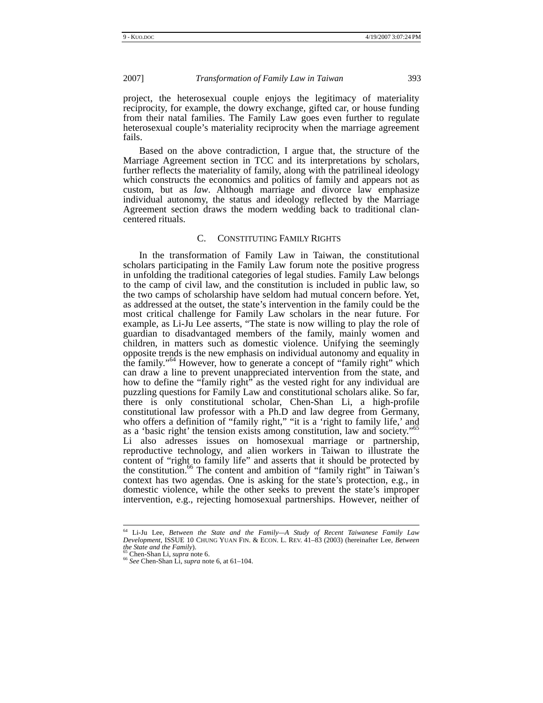project, the heterosexual couple enjoys the legitimacy of materiality reciprocity, for example, the dowry exchange, gifted car, or house funding from their natal families. The Family Law goes even further to regulate heterosexual couple's materiality reciprocity when the marriage agreement fails.

Based on the above contradiction, I argue that, the structure of the Marriage Agreement section in TCC and its interpretations by scholars, further reflects the materiality of family, along with the patrilineal ideology which constructs the economics and politics of family and appears not as custom, but as *law*. Although marriage and divorce law emphasize individual autonomy, the status and ideology reflected by the Marriage Agreement section draws the modern wedding back to traditional clancentered rituals.

# C. CONSTITUTING FAMILY RIGHTS

In the transformation of Family Law in Taiwan, the constitutional scholars participating in the Family Law forum note the positive progress in unfolding the traditional categories of legal studies. Family Law belongs to the camp of civil law, and the constitution is included in public law, so the two camps of scholarship have seldom had mutual concern before. Yet, as addressed at the outset, the state's intervention in the family could be the most critical challenge for Family Law scholars in the near future. For example, as Li-Ju Lee asserts, "The state is now willing to play the role of guardian to disadvantaged members of the family, mainly women and children, in matters such as domestic violence. Unifying the seemingly opposite trends is the new emphasis on individual autonomy and equality in the family."64 However, how to generate a concept of "family right" which can draw a line to prevent unappreciated intervention from the state, and how to define the "family right" as the vested right for any individual are puzzling questions for Family Law and constitutional scholars alike. So far, there is only constitutional scholar, Chen-Shan Li, a high-profile constitutional law professor with a Ph.D and law degree from Germany, who offers a definition of "family right," "it is a 'right to family life,' and as a 'basic right' the tension exists among constitution, law and society." Li also adresses issues on homosexual marriage or partnership, reproductive technology, and alien workers in Taiwan to illustrate the content of "right to family life" and asserts that it should be protected by the constitution.<sup>66</sup> The content and ambition of "family right" in Taiwan's context has two agendas. One is asking for the state's protection, e.g., in domestic violence, while the other seeks to prevent the state's improper intervention, e.g., rejecting homosexual partnerships. However, neither of

 <sup>64</sup> Li-Ju Lee, *Between the State and the Family—A Study of Recent Taiwanese Family Law Development*, ISSUE 10 CHUNG YUAN FIN. & ECON. L. REV. 41–83 (2003) (hereinafter Lee, *Between* the *State and the Family*).

*the State and the Family*). 65 Chen-Shan Li, *supra* note 6. 66 *See* Chen-Shan Li, *supra* note 6, at 61–104.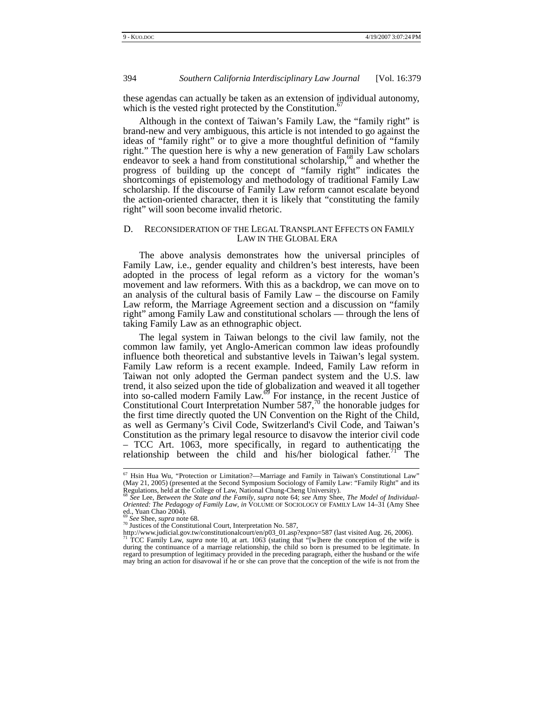these agendas can actually be taken as an extension of individual autonomy, which is the vested right protected by the Constitution.<sup>6</sup>

Although in the context of Taiwan's Family Law, the "family right" is brand-new and very ambiguous, this article is not intended to go against the ideas of "family right" or to give a more thoughtful definition of "family right." The question here is why a new generation of Family Law scholars endeavor to seek a hand from constitutional scholarship, $68$  and whether the progress of building up the concept of "family right" indicates the shortcomings of epistemology and methodology of traditional Family Law scholarship. If the discourse of Family Law reform cannot escalate beyond the action-oriented character, then it is likely that "constituting the family right" will soon become invalid rhetoric.

#### D. RECONSIDERATION OF THE LEGAL TRANSPLANT EFFECTS ON FAMILY LAW IN THE GLOBAL ERA

The above analysis demonstrates how the universal principles of Family Law, i.e., gender equality and children's best interests, have been adopted in the process of legal reform as a victory for the woman's movement and law reformers. With this as a backdrop, we can move on to an analysis of the cultural basis of Family Law – the discourse on Family Law reform, the Marriage Agreement section and a discussion on "family right" among Family Law and constitutional scholars — through the lens of taking Family Law as an ethnographic object.

The legal system in Taiwan belongs to the civil law family, not the common law family, yet Anglo-American common law ideas profoundly influence both theoretical and substantive levels in Taiwan's legal system. Family Law reform is a recent example. Indeed, Family Law reform in Taiwan not only adopted the German pandect system and the U.S. law trend, it also seized upon the tide of globalization and weaved it all together into so-called modern Family Law. $\mathfrak{S}$  For instance, in the recent Justice of Constitutional Court Interpretation Number 587, $^{70}$  the honorable judges for the first time directly quoted the UN Convention on the Right of the Child, as well as Germany's Civil Code, Switzerland's Civil Code, and Taiwan's Constitution as the primary legal resource to disavow the interior civil code – TCC Art. 1063, more specifically, in regard to authenticating the relationship between the child and his/her biological father.<sup>71 $\degree$ </sup> The

et<br>(May 21, 2005) (presented at the Second Symposium Sociology of Family Law: "Family Right" and its<br>(May 21, 2005) (presented at the Second Symposium Sociology of Family Law: "Family Right" and its

Regulations, held at the College of Law, National Chung-Cheng University).<br><sup>68</sup> See Lee, Between the State and the Family, supra note 64; see Amy Shee, The Model of Individual-<br>Oriented: The Pedagogy of Family Law, in VOLU ed., Yuan Chao 2004).

<sup>&</sup>lt;sup>ov</sup> *See* Shee, *supra* note 68.<br><sup>70</sup> Justices of the Constitutional Court, Interpretation No. 587,

http://www.judicial.gov.tw/constitutionalcourt/en/p03\_01.asp?expno=587 (last visited Aug. 26, 2006). <sup>71</sup> TCC Family Law, *supra* note 10, at art. 1063 (stating that "[w]here the conception of the wife is during the continuance of a marriage relationship, the child so born is presumed to be legitimate. In regard to presumption of legitimacy provided in the preceding paragraph, either the husband or the wife may bring an action for disavowal if he or she can prove that the conception of the wife is not from the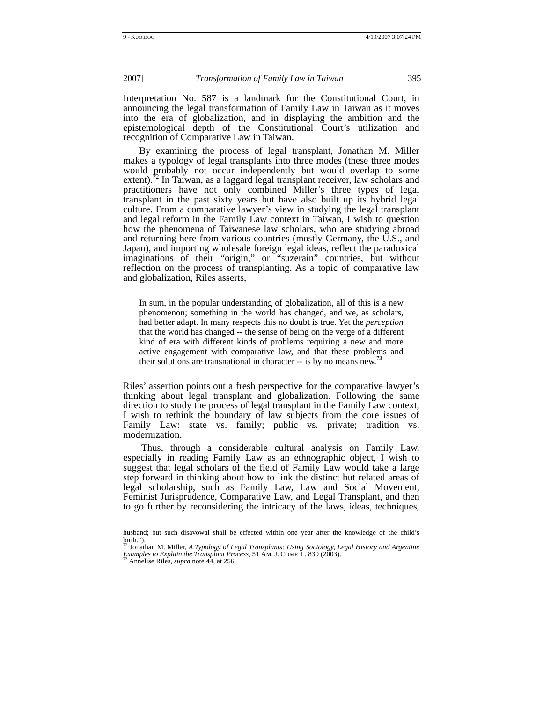Interpretation No. 587 is a landmark for the Constitutional Court, in announcing the legal transformation of Family Law in Taiwan as it moves into the era of globalization, and in displaying the ambition and the epistemological depth of the Constitutional Court's utilization and recognition of Comparative Law in Taiwan.

By examining the process of legal transplant, Jonathan M. Miller makes a typology of legal transplants into three modes (these three modes would probably not occur independently but would overlap to some extent).<sup> $\frac{1}{2}$ </sup> In Taiwan, as a laggard legal transplant receiver, law scholars and practitioners have not only combined Miller's three types of legal transplant in the past sixty years but have also built up its hybrid legal culture. From a comparative lawyer's view in studying the legal transplant and legal reform in the Family Law context in Taiwan, I wish to question how the phenomena of Taiwanese law scholars, who are studying abroad and returning here from various countries (mostly Germany, the U.S., and Japan), and importing wholesale foreign legal ideas, reflect the paradoxical imaginations of their "origin," or "suzerain" countries, but without reflection on the process of transplanting. As a topic of comparative law and globalization, Riles asserts,

In sum, in the popular understanding of globalization, all of this is a new phenomenon; something in the world has changed, and we, as scholars, had better adapt. In many respects this no doubt is true. Yet the *perception* that the world has changed -- the sense of being on the verge of a different kind of era with different kinds of problems requiring a new and more active engagement with comparative law, and that these problems and their solutions are transnational in character  $-$  is by no means new.<sup>73</sup>

Riles' assertion points out a fresh perspective for the comparative lawyer's thinking about legal transplant and globalization. Following the same direction to study the process of legal transplant in the Family Law context, I wish to rethink the boundary of law subjects from the core issues of Family Law: state vs. family; public vs. private; tradition vs. modernization.

 Thus, through a considerable cultural analysis on Family Law, especially in reading Family Law as an ethnographic object, I wish to suggest that legal scholars of the field of Family Law would take a large step forward in thinking about how to link the distinct but related areas of legal scholarship, such as Family Law, Law and Social Movement, Feminist Jurisprudence, Comparative Law, and Legal Transplant, and then to go further by reconsidering the intricacy of the laws, ideas, techniques,

husband; but such disavowal shall be effected within one year after the knowledge of the child's birth."). 72 Jonathan M. Miller, *A Typology of Legal Transplants: Using Sociology, Legal History and Argentine* 

*Examples to Explain the Transplant Process*, 51 AM. J. COMP. <sup>L</sup>*.* 839 (2003). 73 Annelise Riles, *supra* note 44, at 256.